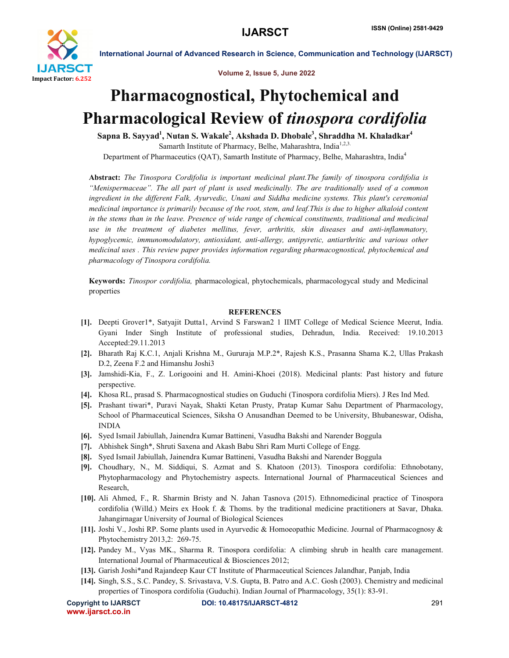

International Journal of Advanced Research in Science, Communication and Technology (IJARSCT)

Volume 2, Issue 5, June 2022

# Pharmacognostical, Phytochemical and Pharmacological Review of *tinospora cordifolia*

Sapna B. Sayyad<sup>1</sup>, Nutan S. Wakale<sup>2</sup>, Akshada D. Dhobale<sup>3</sup>, Shraddha M. Khaladkar<sup>4</sup> Samarth Institute of Pharmacy, Belhe, Maharashtra, India<sup>1,2,3.</sup> Department of Pharmaceutics (QAT), Samarth Institute of Pharmacy, Belhe, Maharashtra, India<sup>4</sup>

Abstract: *The Tinospora Cordifolia is important medicinal plant.The family of tinospora cordifolia is "Menispermaceae". The all part of plant is used medicinally. The are traditionally used of a common ingredient in the different Falk, Ayurvedic, Unani and Siddha medicine systems. This plant's ceremonial medicinal importance is primarily because of the root, stem, and leaf.This is due to higher alkaloid content in the stems than in the leave. Presence of wide range of chemical constituents, traditional and medicinal use in the treatment of diabetes mellitus, fever, arthritis, skin diseases and anti-inflammatory, hypoglycemic, immunomodulatory, antioxidant, anti-allergy, antipyretic, antiarthritic and various other medicinal uses . This review paper provides information regarding pharmacognostical, phytochemical and pharmacology of Tinospora cordifolia.*

Keywords: *Tinospor cordifolia,* pharmacological, phytochemicals, pharmacologycal study and Medicinal properties

### **REFERENCES**

- [1]. Deepti Grover1\*, Satyajit Dutta1, Arvind S Farswan2 1 IIMT College of Medical Science Meerut, India. Gyani Inder Singh Institute of professional studies, Dehradun, India. Received: 19.10.2013 Accepted:29.11.2013
- [2]. Bharath Raj K.C.1, Anjali Krishna M., Gururaja M.P.2\*, Rajesh K.S., Prasanna Shama K.2, Ullas Prakash D.2, Zeena F.2 and Himanshu Joshi3
- [3]. Jamshidi-Kia, F., Z. Lorigooini and H. Amini-Khoei (2018). Medicinal plants: Past history and future perspective.
- [4]. Khosa RL, prasad S. Pharmacognostical studies on Guduchi (Tinospora cordifolia Miers). J Res Ind Med.
- [5]. Prashant tiwari\*, Puravi Nayak, Shakti Ketan Prusty, Pratap Kumar Sahu Department of Pharmacology, School of Pharmaceutical Sciences, Siksha O Anusandhan Deemed to be University, Bhubaneswar, Odisha, INDIA
- [6]. Syed Ismail Jabiullah, Jainendra Kumar Battineni, Vasudha Bakshi and Narender Boggula
- [7]. Abhishek Singh\*, Shruti Saxena and Akash Babu Shri Ram Murti College of Engg.
- [8]. Syed Ismail Jabiullah, Jainendra Kumar Battineni, Vasudha Bakshi and Narender Boggula
- [9]. Choudhary, N., M. Siddiqui, S. Azmat and S. Khatoon (2013). Tinospora cordifolia: Ethnobotany, Phytopharmacology and Phytochemistry aspects. International Journal of Pharmaceutical Sciences and Research,
- [10]. Ali Ahmed, F., R. Sharmin Bristy and N. Jahan Tasnova (2015). Ethnomedicinal practice of Tinospora cordifolia (Willd.) Meirs ex Hook f. & Thoms. by the traditional medicine practitioners at Savar, Dhaka. Jahangirnagar University of Journal of Biological Sciences
- [11]. Joshi V., Joshi RP. Some plants used in Ayurvedic & Homoeopathic Medicine. Journal of Pharmacognosy & Phytochemistry 2013,2: 269-75.
- [12]. Pandey M., Vyas MK., Sharma R. Tinospora cordifolia: A climbing shrub in health care management. International Journal of Pharmaceutical & Biosciences 2012;
- [13]. Garish Joshi\*and Rajandeep Kaur CT Institute of Pharmaceutical Sciences Jalandhar, Panjab, India
- [14]. Singh, S.S., S.C. Pandey, S. Srivastava, V.S. Gupta, B. Patro and A.C. Gosh (2003). Chemistry and medicinal properties of Tinospora cordifolia (Guduchi). Indian Journal of Pharmacology, 35(1): 83-91.

```
www.ijarsct.co.in
```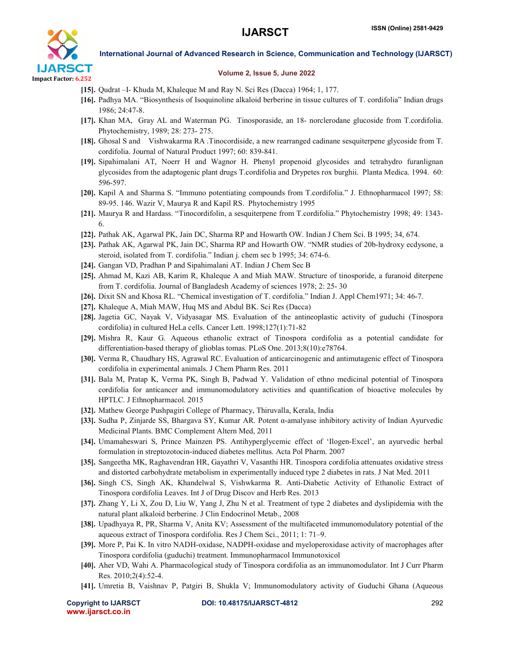

International Journal of Advanced Research in Science, Communication and Technology (IJARSCT)

### Volume 2, Issue 5, June 2022

- [15]. Qudrat –I- Khuda M, Khaleque M and Ray N. Sci Res (Dacca) 1964; 1, 177.
- [16]. Padhya MA. "Biosynthesis of Isoquinoline alkaloid berberine in tissue cultures of T. cordifolia" Indian drugs 1986; 24:47-8.
- [17]. Khan MA, Gray AL and Waterman PG. Tinosporaside, an 18- norclerodane glucoside from T.cordifolia. Phytochemistry, 1989; 28: 273- 275.
- [18]. Ghosal S and Vishwakarma RA .Tinocordiside, a new rearranged cadinane sesquiterpene glycoside from T. cordifolia. Journal of Natural Product 1997; 60: 839-841.
- [19]. Sipahimalani AT, Noerr H and Wagnor H. Phenyl propenoid glycosides and tetrahydro furanlignan glycosides from the adaptogenic plant drugs T.cordifolia and Drypetes rox burghii. Planta Medica. 1994. 60: 596-597.
- [20]. Kapil A and Sharma S. "Immuno potentiating compounds from T.cordifolia." J. Ethnopharmacol 1997; 58: 89-95. 146. Wazir V, Maurya R and Kapil RS. Phytochemistry 1995
- [21]. Maurya R and Hardass. "Tinocordifolin, a sesquiterpene from T.cordifolia." Phytochemistry 1998; 49: 1343- 6.
- [22]. Pathak AK, Agarwal PK, Jain DC, Sharma RP and Howarth OW. Indian J Chem Sci. B 1995; 34, 674.
- [23]. Pathak AK, Agarwal PK, Jain DC, Sharma RP and Howarth OW. "NMR studies of 20b-hydroxy ecdysone, a steroid, isolated from T. cordifolia." Indian j. chem sec b 1995; 34: 674-6.
- [24]. Gangan VD, Pradhan P and Sipahimalani AT. Indian J Chem Sec B
- [25]. Ahmad M, Kazi AB, Karim R, Khaleque A and Miah MAW. Structure of tinosporide, a furanoid diterpene from T. cordifolia. Journal of Bangladesh Academy of sciences 1978; 2: 25- 30
- [26]. Dixit SN and Khosa RL. "Chemical investigation of T. cordifolia." Indian J. Appl Chem1971; 34: 46-7.
- [27]. Khaleque A, Miah MAW, Huq MS and Abdul BK. Sci Res (Dacca)
- [28]. Jagetia GC, Nayak V, Vidyasagar MS. Evaluation of the antineoplastic activity of guduchi (Tinospora cordifolia) in cultured HeLa cells. Cancer Lett. 1998;127(1):71-82
- [29]. Mishra R, Kaur G. Aqueous ethanolic extract of Tinospora cordifolia as a potential candidate for differentiation-based therapy of glioblas tomas. PLoS One. 2013;8(10):e78764.
- [30]. Verma R, Chaudhary HS, Agrawal RC. Evaluation of anticarcinogenic and antimutagenic effect of Tinospora cordifolia in experimental animals. J Chem Pharm Res. 2011
- [31]. Bala M, Pratap K, Verma PK, Singh B, Padwad Y. Validation of ethno medicinal potential of Tinospora cordifolia for anticancer and immunomodulatory activities and quantification of bioactive molecules by HPTLC. J Ethnopharmacol. 2015
- [32]. Mathew George Pushpagiri College of Pharmacy, Thiruvalla, Kerala, India
- [33]. Sudha P, Zinjarde SS, Bhargava SY, Kumar AR. Potent α-amalyase inhibitory activity of Indian Ayurvedic Medicinal Plants. BMC Complement Altern Med, 2011
- [34]. Umamaheswari S, Prince Mainzen PS. Antihyperglycemic effect of 'Ilogen-Excel', an ayurvedic herbal formulation in streptozotocin-induced diabetes mellitus. Acta Pol Pharm. 2007
- [35]. Sangeetha MK, Raghavendran HR, Gayathri V, Vasanthi HR. Tinospora cordifolia attenuates oxidative stress and distorted carbohydrate metabolism in experimentally induced type 2 diabetes in rats. J Nat Med. 2011
- [36]. Singh CS, Singh AK, Khandelwal S, Vishwkarma R. Anti-Diabetic Activity of Ethanolic Extract of Tinospora cordifolia Leaves. Int J of Drug Discov and Herb Res. 2013
- [37]. Zhang Y, Li X, Zou D, Liu W, Yang J, Zhu N et al. Treatment of type 2 diabetes and dyslipidemia with the natural plant alkaloid berberine. J Clin Endocrinol Metab., 2008
- [38]. Upadhyaya R, PR, Sharma V, Anita KV; Assessment of the multifaceted immunomodulatory potential of the aqueous extract of Tinospora cordifolia. Res J Chem Sci., 2011; 1: 71–9.
- [39]. More P, Pai K. In vitro NADH-oxidase, NADPH-oxidase and myeloperoxidase activity of macrophages after Tinospora cordifolia (guduchi) treatment. Immunopharmacol Immunotoxicol
- [40]. Aher VD, Wahi A. Pharmacological study of Tinospora cordifolia as an immunomodulator. Int J Curr Pharm Res. 2010;2(4):52-4.
- [41]. Umretia B, Vaishnav P, Patgiri B, Shukla V; Immunomodulatory activity of Guduchi Ghana (Aqueous

www.ijarsct.co.in